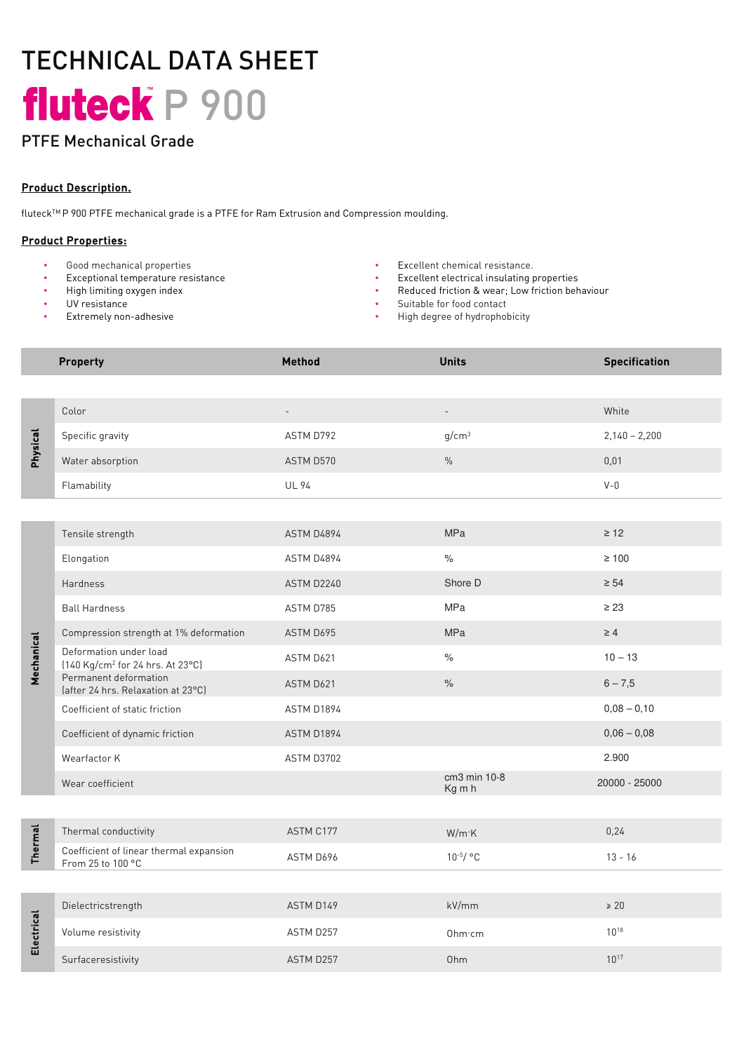# TECHNICAL DATA SHEET fluteck P 900

### PTFE Mechanical Grade

#### Product Description.

fluteckTM P 900 PTFE mechanical grade is a PTFE for Ram Extrusion and Compression moulding.

#### Product Properties:

- Good mechanical properties Excellent chemical resistance.
- Exceptional temperature resistance Excellent electrical insulating properties
- High limiting oxygen index
- UV resistance
- Extremely non-adhesive
- 
- 
- Reduced friction & wear; Low friction behaviour
- Suitable for food contact
- High degree of hydrophobicity

|                | <b>Property</b>                                                        | <b>Method</b>            | <b>Units</b>             | <b>Specification</b> |
|----------------|------------------------------------------------------------------------|--------------------------|--------------------------|----------------------|
|                |                                                                        |                          |                          |                      |
| Physical       | Color                                                                  | $\overline{\phantom{a}}$ | $\overline{\phantom{a}}$ | White                |
|                | Specific gravity                                                       | ASTM D792                | g/cm <sup>3</sup>        | $2,140 - 2,200$      |
|                | Water absorption                                                       | ASTM D570                | $\%$                     | 0,01                 |
|                | Flamability                                                            | <b>UL 94</b>             |                          | $V - 0$              |
|                |                                                                        |                          |                          |                      |
| Mechanical     | Tensile strength                                                       | ASTM D4894               | MPa                      | $\geq 12$            |
|                | Elongation                                                             | ASTM D4894               | $\%$                     | $\geq 100$           |
|                | Hardness                                                               | ASTM D2240               | Shore D                  | $\geq 54$            |
|                | <b>Ball Hardness</b>                                                   | ASTM D785                | <b>MPa</b>               | $\geq 23$            |
|                | Compression strength at 1% deformation                                 | ASTM D695                | <b>MPa</b>               | $\geq 4$             |
|                | Deformation under load<br>[140 Kg/cm <sup>2</sup> for 24 hrs. At 23°C] | ASTM D621                | $\frac{1}{\sqrt{2}}$     | $10 - 13$            |
|                | Permanent deformation<br>(after 24 hrs. Relaxation at 23°C)            | ASTM D621                | $\%$                     | $6 - 7,5$            |
|                | Coefficient of static friction                                         | ASTM D1894               |                          | $0,08 - 0,10$        |
|                | Coefficient of dynamic friction                                        | ASTM D1894               |                          | $0,06 - 0,08$        |
|                | Wearfactor K                                                           | ASTM D3702               |                          | 2.900                |
|                | Wear coefficient                                                       |                          | cm3 min 10-8<br>Kg m h   | 20000 - 25000        |
|                |                                                                        |                          |                          |                      |
| <b>Thermal</b> | Thermal conductivity                                                   | ASTM C177                | W/m K                    | 0,24                 |
|                | Coefficient of linear thermal expansion<br>From 25 to 100 °C           | ASTM D696                | $10^{-5} / °C$           | $13 - 16$            |
|                |                                                                        |                          |                          |                      |
| Electrical     | Dielectricstrength                                                     | ASTM D149                | kV/mm                    | $\geq 20$            |
|                | Volume resistivity                                                     | ASTM D257                | Ohm·cm                   | $10^{18}$            |
|                | Surfaceresistivity                                                     | ASTM D257                | Ohm                      | $10^{17}$            |
|                |                                                                        |                          |                          |                      |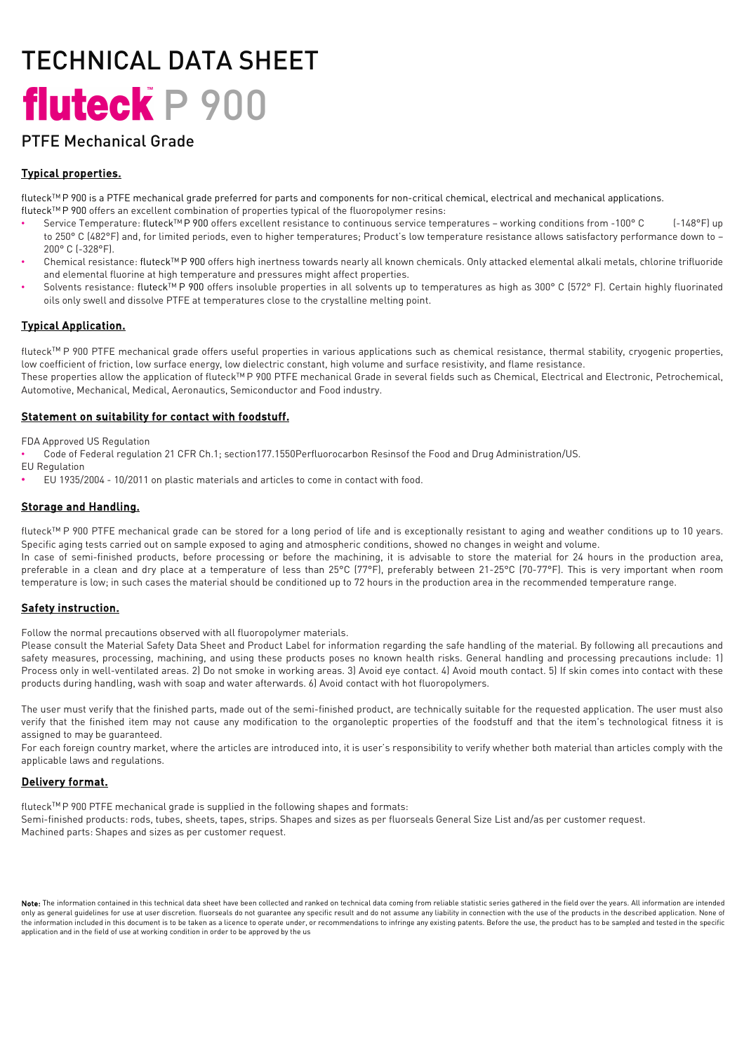# TECHNICAL DATA SHEET fluteck P 900

### PTFE Mechanical Grade

#### Typical properties.

fluteck<sup>TM</sup>P 900 is a PTFE mechanical grade preferred for parts and components for non-critical chemical, electrical and mechanical applications.

- fluteckTM P 900 offers an excellent combination of properties typical of the fluoropolymer resins:
- Service Temperature: fluteck™P 900 offers excellent resistance to continuous service temperatures working conditions from -100° C (-148°F) up to 250° C (482°F) and, for limited periods, even to higher temperatures; Product's low temperature resistance allows satisfactory performance down to -200° C (-328°F).
- Chemical resistance: fluteckTM P 900 offers high inertness towards nearly all known chemicals. Only attacked elemental alkali metals, chlorine trifluoride and elemental fluorine at high temperature and pressures might affect properties.
- Solvents resistance: fluteck<sup>TM</sup> P 900 offers insoluble properties in all solvents up to temperatures as high as 300° C (572° F). Certain highly fluorinated oils only swell and dissolve PTFE at temperatures close to the crystalline melting point.

#### Typical Application.

fluteck<sup>TM</sup> P 900 PTFE mechanical grade offers useful properties in various applications such as chemical resistance, thermal stability, cryogenic properties, low coefficient of friction, low surface energy, low dielectric constant, high volume and surface resistivity, and flame resistance.

These properties allow the application of fluteck<sup>TM</sup> P 900 PTFE mechanical Grade in several fields such as Chemical, Electrical and Electronic, Petrochemical, Automotive, Mechanical, Medical, Aeronautics, Semiconductor and Food industry.

#### Statement on suitability for contact with foodstuff.

FDA Approved US Regulation

- Code of Federal regulation 21 CFR Ch.1; section177.1550Perfluorocarbon Resinsof the Food and Drug Administration/US.
- EU Regulation
- EU 1935/2004 10/2011 on plastic materials and articles to come in contact with food.

#### Storage and Handling.

fluteck™ P 900 PTFE mechanical grade can be stored for a long period of life and is exceptionally resistant to aging and weather conditions up to 10 years. Specific aging tests carried out on sample exposed to aging and atmospheric conditions, showed no changes in weight and volume. In case of semi-finished products, before processing or before the machining, it is advisable to store the material for 24 hours in the production area,

preferable in a clean and dry place at a temperature of less than 25°C (77°F), preferably between 21-25°C (70-77°F). This is very important when room temperature is low; in such cases the material should be conditioned up to 72 hours in the production area in the recommended temperature range.

#### Safety instruction.

Follow the normal precautions observed with all fluoropolymer materials.

Please consult the Material Safety Data Sheet and Product Label for information regarding the safe handling of the material. By following all precautions and safety measures, processing, machining, and using these products poses no known health risks. General handling and processing precautions include: 1) Process only in well-ventilated areas. 2) Do not smoke in working areas. 3) Avoid eye contact. 4) Avoid mouth contact. 5) If skin comes into contact with these products during handling, wash with soap and water afterwards. 6) Avoid contact with hot fluoropolymers.

The user must verify that the finished parts, made out of the semi-finished product, are technically suitable for the requested application. The user must also verify that the finished item may not cause any modification to the organoleptic properties of the foodstuff and that the item's technological fitness it is assigned to may be guaranteed.

For each foreign country market, where the articles are introduced into, it is user's responsibility to verify whether both material than articles comply with the applicable laws and regulations.

#### Delivery format.

fluteckTM P 900 PTFE mechanical grade is supplied in the following shapes and formats: Semi-finished products: rods, tubes, sheets, tapes, strips. Shapes and sizes as per fluorseals General Size List and/as per customer request. Machined parts: Shapes and sizes as per customer request.

Note: The information contained in this technical data sheet have been collected and ranked on technical data coming from reliable statistic series gathered in the field over the years. All information are intended only as general guidelines for use at user discretion. fluorseals do not guarantee any specific result and do not assume any liability in connection with the use of the products in the described application. None of the information included in this document is to be taken as a licence to operate under, or recommendations to infringe any existing patents. Before the use, the product has to be sampled and tested in the specific application and in the field of use at working condition in order to be approved by the us